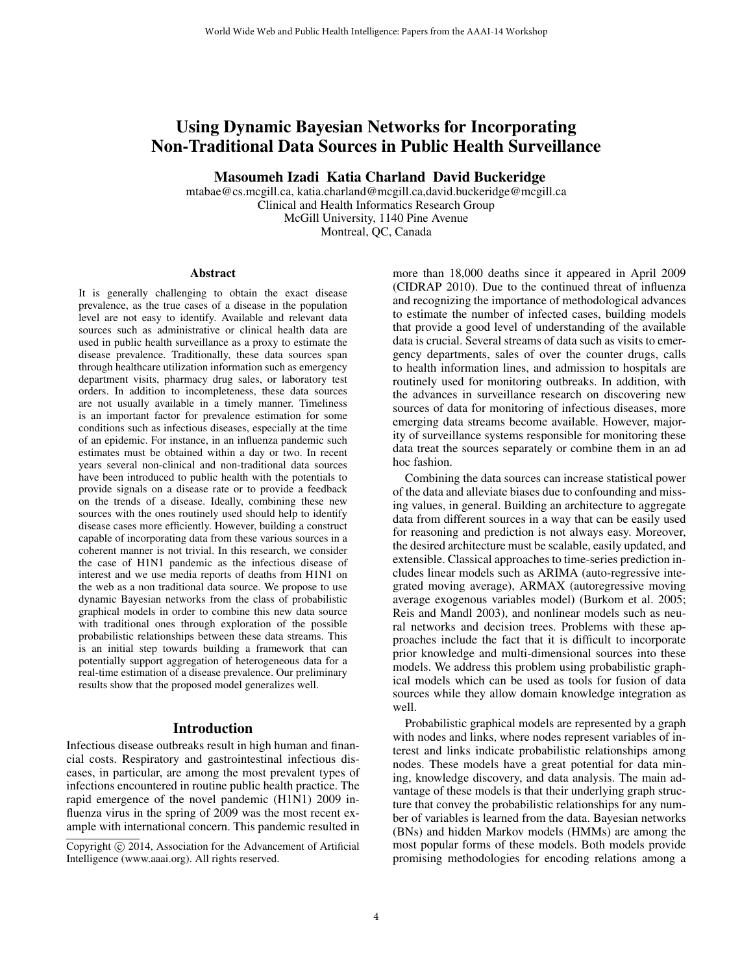# Using Dynamic Bayesian Networks for Incorporating Non-Traditional Data Sources in Public Health Surveillance

Masoumeh Izadi Katia Charland David Buckeridge

mtabae@cs.mcgill.ca, katia.charland@mcgill.ca,david.buckeridge@mcgill.ca Clinical and Health Informatics Research Group McGill University, 1140 Pine Avenue Montreal, QC, Canada

#### Abstract

It is generally challenging to obtain the exact disease prevalence, as the true cases of a disease in the population level are not easy to identify. Available and relevant data sources such as administrative or clinical health data are used in public health surveillance as a proxy to estimate the disease prevalence. Traditionally, these data sources span through healthcare utilization information such as emergency department visits, pharmacy drug sales, or laboratory test orders. In addition to incompleteness, these data sources are not usually available in a timely manner. Timeliness is an important factor for prevalence estimation for some conditions such as infectious diseases, especially at the time of an epidemic. For instance, in an influenza pandemic such estimates must be obtained within a day or two. In recent years several non-clinical and non-traditional data sources have been introduced to public health with the potentials to provide signals on a disease rate or to provide a feedback on the trends of a disease. Ideally, combining these new sources with the ones routinely used should help to identify disease cases more efficiently. However, building a construct capable of incorporating data from these various sources in a coherent manner is not trivial. In this research, we consider the case of H1N1 pandemic as the infectious disease of interest and we use media reports of deaths from H1N1 on the web as a non traditional data source. We propose to use dynamic Bayesian networks from the class of probabilistic graphical models in order to combine this new data source with traditional ones through exploration of the possible probabilistic relationships between these data streams. This is an initial step towards building a framework that can potentially support aggregation of heterogeneous data for a real-time estimation of a disease prevalence. Our preliminary results show that the proposed model generalizes well.

#### Introduction

Infectious disease outbreaks result in high human and financial costs. Respiratory and gastrointestinal infectious diseases, in particular, are among the most prevalent types of infections encountered in routine public health practice. The rapid emergence of the novel pandemic (H1N1) 2009 influenza virus in the spring of 2009 was the most recent example with international concern. This pandemic resulted in more than 18,000 deaths since it appeared in April 2009 (CIDRAP 2010). Due to the continued threat of influenza and recognizing the importance of methodological advances to estimate the number of infected cases, building models that provide a good level of understanding of the available data is crucial. Several streams of data such as visits to emergency departments, sales of over the counter drugs, calls to health information lines, and admission to hospitals are routinely used for monitoring outbreaks. In addition, with the advances in surveillance research on discovering new sources of data for monitoring of infectious diseases, more emerging data streams become available. However, majority of surveillance systems responsible for monitoring these data treat the sources separately or combine them in an ad hoc fashion.

Combining the data sources can increase statistical power of the data and alleviate biases due to confounding and missing values, in general. Building an architecture to aggregate data from different sources in a way that can be easily used for reasoning and prediction is not always easy. Moreover, the desired architecture must be scalable, easily updated, and extensible. Classical approaches to time-series prediction includes linear models such as ARIMA (auto-regressive integrated moving average), ARMAX (autoregressive moving average exogenous variables model) (Burkom et al. 2005; Reis and Mandl 2003), and nonlinear models such as neural networks and decision trees. Problems with these approaches include the fact that it is difficult to incorporate prior knowledge and multi-dimensional sources into these models. We address this problem using probabilistic graphical models which can be used as tools for fusion of data sources while they allow domain knowledge integration as well.

Probabilistic graphical models are represented by a graph with nodes and links, where nodes represent variables of interest and links indicate probabilistic relationships among nodes. These models have a great potential for data mining, knowledge discovery, and data analysis. The main advantage of these models is that their underlying graph structure that convey the probabilistic relationships for any number of variables is learned from the data. Bayesian networks (BNs) and hidden Markov models (HMMs) are among the most popular forms of these models. Both models provide promising methodologies for encoding relations among a

Copyright © 2014, Association for the Advancement of Artificial Intelligence (www.aaai.org). All rights reserved.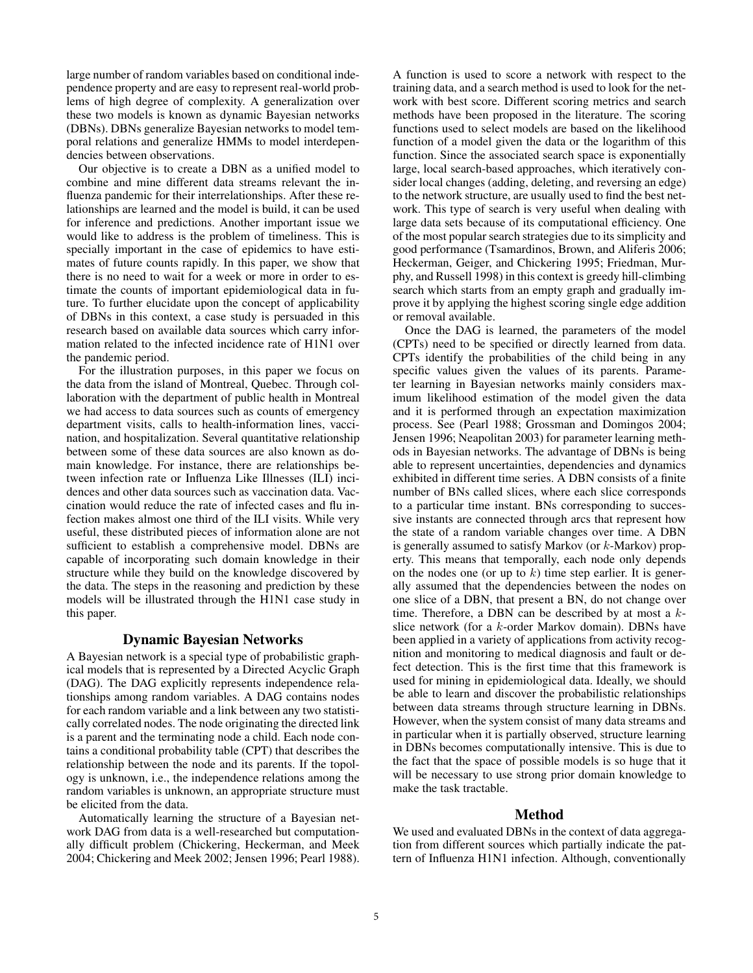large number of random variables based on conditional independence property and are easy to represent real-world problems of high degree of complexity. A generalization over these two models is known as dynamic Bayesian networks (DBNs). DBNs generalize Bayesian networks to model temporal relations and generalize HMMs to model interdependencies between observations.

Our objective is to create a DBN as a unified model to combine and mine different data streams relevant the influenza pandemic for their interrelationships. After these relationships are learned and the model is build, it can be used for inference and predictions. Another important issue we would like to address is the problem of timeliness. This is specially important in the case of epidemics to have estimates of future counts rapidly. In this paper, we show that there is no need to wait for a week or more in order to estimate the counts of important epidemiological data in future. To further elucidate upon the concept of applicability of DBNs in this context, a case study is persuaded in this research based on available data sources which carry information related to the infected incidence rate of H1N1 over the pandemic period.

For the illustration purposes, in this paper we focus on the data from the island of Montreal, Quebec. Through collaboration with the department of public health in Montreal we had access to data sources such as counts of emergency department visits, calls to health-information lines, vaccination, and hospitalization. Several quantitative relationship between some of these data sources are also known as domain knowledge. For instance, there are relationships between infection rate or Influenza Like Illnesses (ILI) incidences and other data sources such as vaccination data. Vaccination would reduce the rate of infected cases and flu infection makes almost one third of the ILI visits. While very useful, these distributed pieces of information alone are not sufficient to establish a comprehensive model. DBNs are capable of incorporating such domain knowledge in their structure while they build on the knowledge discovered by the data. The steps in the reasoning and prediction by these models will be illustrated through the H1N1 case study in this paper.

# Dynamic Bayesian Networks

A Bayesian network is a special type of probabilistic graphical models that is represented by a Directed Acyclic Graph (DAG). The DAG explicitly represents independence relationships among random variables. A DAG contains nodes for each random variable and a link between any two statistically correlated nodes. The node originating the directed link is a parent and the terminating node a child. Each node contains a conditional probability table (CPT) that describes the relationship between the node and its parents. If the topology is unknown, i.e., the independence relations among the random variables is unknown, an appropriate structure must be elicited from the data.

Automatically learning the structure of a Bayesian network DAG from data is a well-researched but computationally difficult problem (Chickering, Heckerman, and Meek 2004; Chickering and Meek 2002; Jensen 1996; Pearl 1988).

A function is used to score a network with respect to the training data, and a search method is used to look for the network with best score. Different scoring metrics and search methods have been proposed in the literature. The scoring functions used to select models are based on the likelihood function of a model given the data or the logarithm of this function. Since the associated search space is exponentially large, local search-based approaches, which iteratively consider local changes (adding, deleting, and reversing an edge) to the network structure, are usually used to find the best network. This type of search is very useful when dealing with large data sets because of its computational efficiency. One of the most popular search strategies due to its simplicity and good performance (Tsamardinos, Brown, and Aliferis 2006; Heckerman, Geiger, and Chickering 1995; Friedman, Murphy, and Russell 1998) in this context is greedy hill-climbing search which starts from an empty graph and gradually improve it by applying the highest scoring single edge addition or removal available.

Once the DAG is learned, the parameters of the model (CPTs) need to be specified or directly learned from data. CPTs identify the probabilities of the child being in any specific values given the values of its parents. Parameter learning in Bayesian networks mainly considers maximum likelihood estimation of the model given the data and it is performed through an expectation maximization process. See (Pearl 1988; Grossman and Domingos 2004; Jensen 1996; Neapolitan 2003) for parameter learning methods in Bayesian networks. The advantage of DBNs is being able to represent uncertainties, dependencies and dynamics exhibited in different time series. A DBN consists of a finite number of BNs called slices, where each slice corresponds to a particular time instant. BNs corresponding to successive instants are connected through arcs that represent how the state of a random variable changes over time. A DBN is generally assumed to satisfy Markov (or k-Markov) property. This means that temporally, each node only depends on the nodes one (or up to  $k$ ) time step earlier. It is generally assumed that the dependencies between the nodes on one slice of a DBN, that present a BN, do not change over time. Therefore, a DBN can be described by at most a  $k$ slice network (for a k-order Markov domain). DBNs have been applied in a variety of applications from activity recognition and monitoring to medical diagnosis and fault or defect detection. This is the first time that this framework is used for mining in epidemiological data. Ideally, we should be able to learn and discover the probabilistic relationships between data streams through structure learning in DBNs. However, when the system consist of many data streams and in particular when it is partially observed, structure learning in DBNs becomes computationally intensive. This is due to the fact that the space of possible models is so huge that it will be necessary to use strong prior domain knowledge to make the task tractable.

### Method

We used and evaluated DBNs in the context of data aggregation from different sources which partially indicate the pattern of Influenza H1N1 infection. Although, conventionally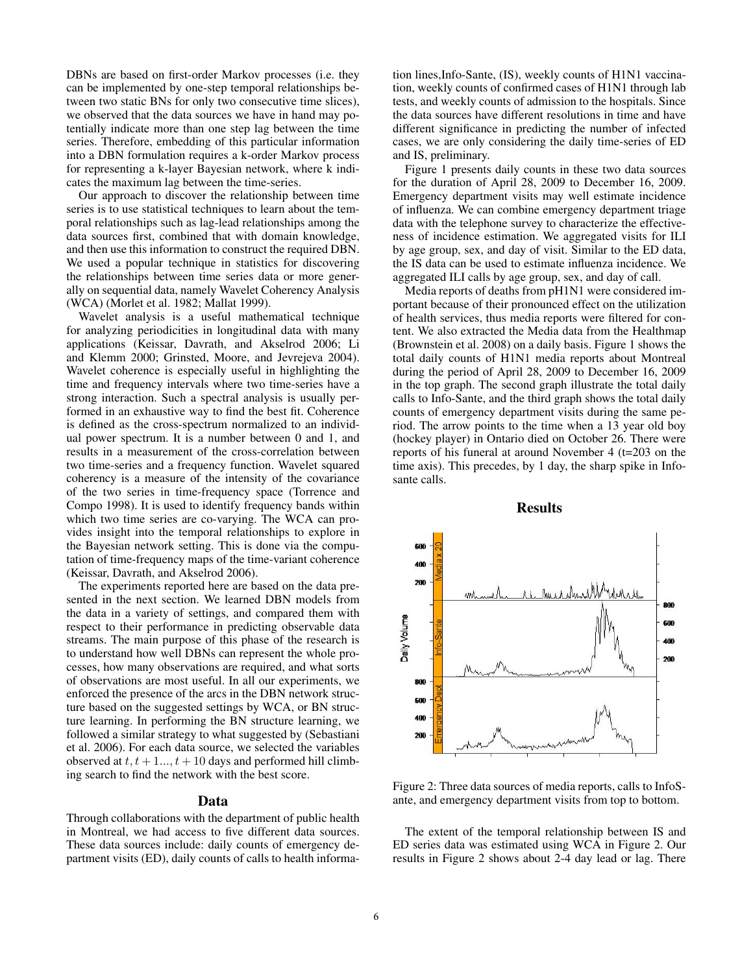DBNs are based on first-order Markov processes (i.e. they can be implemented by one-step temporal relationships between two static BNs for only two consecutive time slices), we observed that the data sources we have in hand may potentially indicate more than one step lag between the time series. Therefore, embedding of this particular information into a DBN formulation requires a k-order Markov process for representing a k-layer Bayesian network, where k indicates the maximum lag between the time-series.

Our approach to discover the relationship between time series is to use statistical techniques to learn about the temporal relationships such as lag-lead relationships among the data sources first, combined that with domain knowledge, and then use this information to construct the required DBN. We used a popular technique in statistics for discovering the relationships between time series data or more generally on sequential data, namely Wavelet Coherency Analysis (WCA) (Morlet et al. 1982; Mallat 1999).

Wavelet analysis is a useful mathematical technique for analyzing periodicities in longitudinal data with many applications (Keissar, Davrath, and Akselrod 2006; Li and Klemm 2000; Grinsted, Moore, and Jevrejeva 2004). Wavelet coherence is especially useful in highlighting the time and frequency intervals where two time-series have a strong interaction. Such a spectral analysis is usually performed in an exhaustive way to find the best fit. Coherence is defined as the cross-spectrum normalized to an individual power spectrum. It is a number between 0 and 1, and results in a measurement of the cross-correlation between two time-series and a frequency function. Wavelet squared coherency is a measure of the intensity of the covariance of the two series in time-frequency space (Torrence and Compo 1998). It is used to identify frequency bands within which two time series are co-varying. The WCA can provides insight into the temporal relationships to explore in the Bayesian network setting. This is done via the computation of time-frequency maps of the time-variant coherence (Keissar, Davrath, and Akselrod 2006).

The experiments reported here are based on the data presented in the next section. We learned DBN models from the data in a variety of settings, and compared them with respect to their performance in predicting observable data streams. The main purpose of this phase of the research is to understand how well DBNs can represent the whole processes, how many observations are required, and what sorts of observations are most useful. In all our experiments, we enforced the presence of the arcs in the DBN network structure based on the suggested settings by WCA, or BN structure learning. In performing the BN structure learning, we followed a similar strategy to what suggested by (Sebastiani et al. 2006). For each data source, we selected the variables observed at  $t, t+1, \ldots, t+10$  days and performed hill climbing search to find the network with the best score.

#### Data

Through collaborations with the department of public health in Montreal, we had access to five different data sources. These data sources include: daily counts of emergency department visits (ED), daily counts of calls to health informa-

tion lines,Info-Sante, (IS), weekly counts of H1N1 vaccination, weekly counts of confirmed cases of H1N1 through lab tests, and weekly counts of admission to the hospitals. Since the data sources have different resolutions in time and have different significance in predicting the number of infected cases, we are only considering the daily time-series of ED and IS, preliminary.

Figure 1 presents daily counts in these two data sources for the duration of April 28, 2009 to December 16, 2009. Emergency department visits may well estimate incidence of influenza. We can combine emergency department triage data with the telephone survey to characterize the effectiveness of incidence estimation. We aggregated visits for ILI by age group, sex, and day of visit. Similar to the ED data, the IS data can be used to estimate influenza incidence. We aggregated ILI calls by age group, sex, and day of call.

Media reports of deaths from pH1N1 were considered important because of their pronounced effect on the utilization of health services, thus media reports were filtered for content. We also extracted the Media data from the Healthmap (Brownstein et al. 2008) on a daily basis. Figure 1 shows the total daily counts of H1N1 media reports about Montreal during the period of April 28, 2009 to December 16, 2009 in the top graph. The second graph illustrate the total daily calls to Info-Sante, and the third graph shows the total daily counts of emergency department visits during the same period. The arrow points to the time when a 13 year old boy (hockey player) in Ontario died on October 26. There were reports of his funeral at around November 4 (t=203 on the time axis). This precedes, by 1 day, the sharp spike in Infosante calls.



Results

Figure 2: Three data sources of media reports, calls to InfoSante, and emergency department visits from top to bottom.

The extent of the temporal relationship between IS and ED series data was estimated using WCA in Figure 2. Our results in Figure 2 shows about 2-4 day lead or lag. There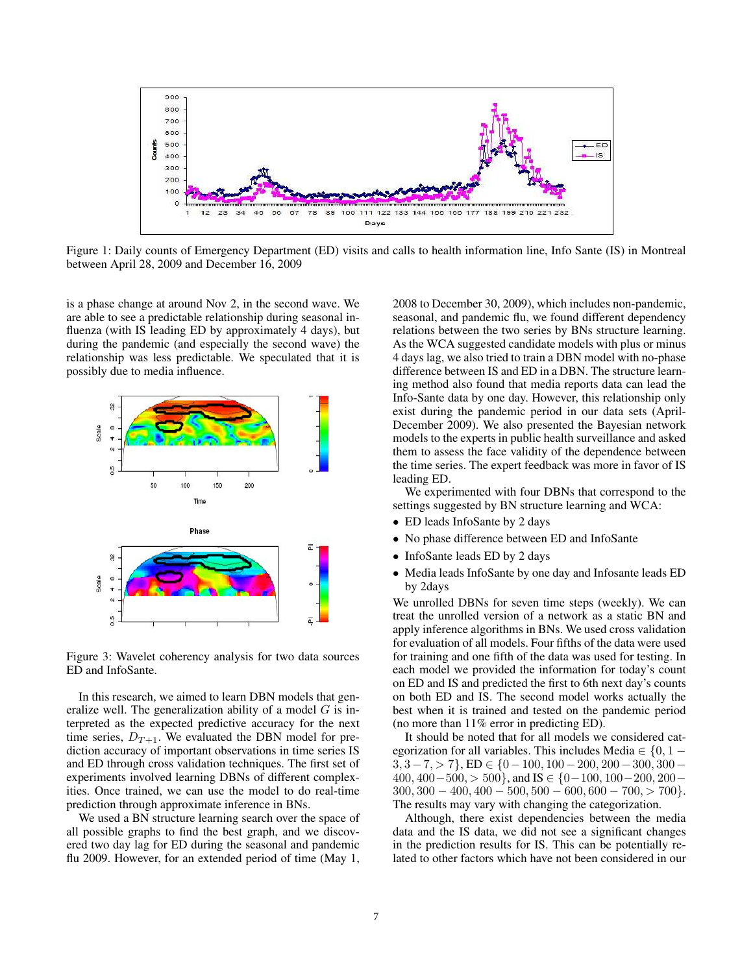

Figure 1: Daily counts of Emergency Department (ED) visits and calls to health information line, Info Sante (IS) in Montreal between April 28, 2009 and December 16, 2009

is a phase change at around Nov 2, in the second wave. We are able to see a predictable relationship during seasonal influenza (with IS leading ED by approximately 4 days), but during the pandemic (and especially the second wave) the relationship was less predictable. We speculated that it is possibly due to media influence.



Figure 3: Wavelet coherency analysis for two data sources ED and InfoSante.

In this research, we aimed to learn DBN models that generalize well. The generalization ability of a model  $G$  is interpreted as the expected predictive accuracy for the next time series,  $D_{T+1}$ . We evaluated the DBN model for prediction accuracy of important observations in time series IS and ED through cross validation techniques. The first set of experiments involved learning DBNs of different complexities. Once trained, we can use the model to do real-time prediction through approximate inference in BNs.

We used a BN structure learning search over the space of all possible graphs to find the best graph, and we discovered two day lag for ED during the seasonal and pandemic flu 2009. However, for an extended period of time (May 1,

2008 to December 30, 2009), which includes non-pandemic, seasonal, and pandemic flu, we found different dependency relations between the two series by BNs structure learning. As the WCA suggested candidate models with plus or minus 4 days lag, we also tried to train a DBN model with no-phase difference between IS and ED in a DBN. The structure learning method also found that media reports data can lead the Info-Sante data by one day. However, this relationship only exist during the pandemic period in our data sets (April-December 2009). We also presented the Bayesian network models to the experts in public health surveillance and asked them to assess the face validity of the dependence between the time series. The expert feedback was more in favor of IS leading ED.

We experimented with four DBNs that correspond to the settings suggested by BN structure learning and WCA:

- ED leads InfoSante by 2 days
- No phase difference between ED and InfoSante
- InfoSante leads ED by 2 days
- Media leads InfoSante by one day and Infosante leads ED by 2days

We unrolled DBNs for seven time steps (weekly). We can treat the unrolled version of a network as a static BN and apply inference algorithms in BNs. We used cross validation for evaluation of all models. Four fifths of the data were used for training and one fifth of the data was used for testing. In each model we provided the information for today's count on ED and IS and predicted the first to 6th next day's counts on both ED and IS. The second model works actually the best when it is trained and tested on the pandemic period (no more than 11% error in predicting ED).

It should be noted that for all models we considered categorization for all variables. This includes Media  $\in \{0, 1 - \}$  $3, 3-7, > 7$ , ED  $\in \{0-100, 100-200, 200-300, 300 400, 400-500, > 500$ , and IS  $\in \{0-100, 100-200, 200 300, 300 - 400, 400 - 500, 500 - 600, 600 - 700, > 700$ . The results may vary with changing the categorization.

Although, there exist dependencies between the media data and the IS data, we did not see a significant changes in the prediction results for IS. This can be potentially related to other factors which have not been considered in our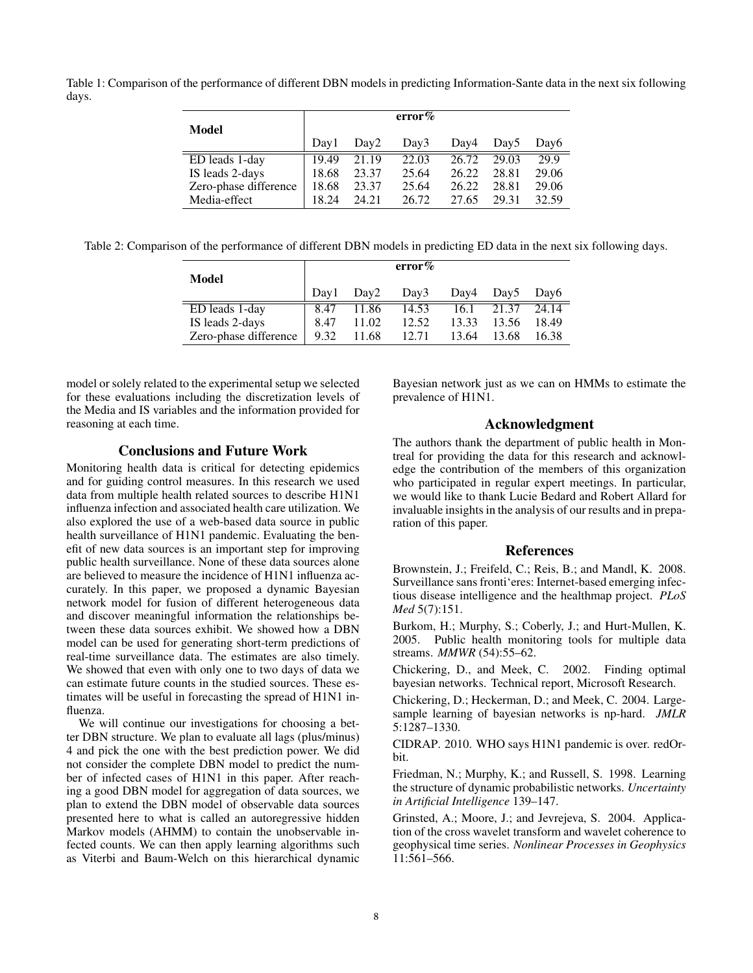Table 1: Comparison of the performance of different DBN models in predicting Information-Sante data in the next six following days.

| Model                 |       |                  | error $\%$ |       |                  |       |
|-----------------------|-------|------------------|------------|-------|------------------|-------|
|                       | Dav1  | Dav <sub>2</sub> | Day3       | Day4  | Dav <sub>5</sub> | Day6  |
| ED leads 1-day        | 19.49 | 21.19            | 22.03      | 26.72 | 29.03            | 29.9  |
| IS leads 2-days       | 18.68 | 23.37            | 25.64      | 26.22 | 28.81            | 29.06 |
| Zero-phase difference | 18.68 | 23.37            | 25.64      | 26.22 | 28.81            | 29.06 |
| Media-effect          | 18 24 | 24.21            | 26.72      | 27.65 | 29.31            | 32.59 |

Table 2: Comparison of the performance of different DBN models in predicting ED data in the next six following days.

| Model                 |      |                  | error% |       |                |       |
|-----------------------|------|------------------|--------|-------|----------------|-------|
|                       | Dav1 | Dav <sub>2</sub> | Day3   |       | Day4 Day5 Day6 |       |
| ED leads 1-day        | 8.47 | 11.86            | 14.53  | 16.1  | 21.37          | 24.14 |
| IS leads 2-days       | 8.47 | 11.02            | 12.52  | 13.33 | 13.56          | 18.49 |
| Zero-phase difference | 9.32 | 11.68            | 12.71  | 13.64 | 13.68          | 16.38 |

model or solely related to the experimental setup we selected for these evaluations including the discretization levels of the Media and IS variables and the information provided for reasoning at each time.

# Conclusions and Future Work

Monitoring health data is critical for detecting epidemics and for guiding control measures. In this research we used data from multiple health related sources to describe H1N1 influenza infection and associated health care utilization. We also explored the use of a web-based data source in public health surveillance of H1N1 pandemic. Evaluating the benefit of new data sources is an important step for improving public health surveillance. None of these data sources alone are believed to measure the incidence of H1N1 influenza accurately. In this paper, we proposed a dynamic Bayesian network model for fusion of different heterogeneous data and discover meaningful information the relationships between these data sources exhibit. We showed how a DBN model can be used for generating short-term predictions of real-time surveillance data. The estimates are also timely. We showed that even with only one to two days of data we can estimate future counts in the studied sources. These estimates will be useful in forecasting the spread of H1N1 influenza.

We will continue our investigations for choosing a better DBN structure. We plan to evaluate all lags (plus/minus) 4 and pick the one with the best prediction power. We did not consider the complete DBN model to predict the number of infected cases of H1N1 in this paper. After reaching a good DBN model for aggregation of data sources, we plan to extend the DBN model of observable data sources presented here to what is called an autoregressive hidden Markov models (AHMM) to contain the unobservable infected counts. We can then apply learning algorithms such as Viterbi and Baum-Welch on this hierarchical dynamic Bayesian network just as we can on HMMs to estimate the prevalence of H1N1.

# Acknowledgment

The authors thank the department of public health in Montreal for providing the data for this research and acknowledge the contribution of the members of this organization who participated in regular expert meetings. In particular, we would like to thank Lucie Bedard and Robert Allard for invaluable insights in the analysis of our results and in preparation of this paper.

# References

Brownstein, J.; Freifeld, C.; Reis, B.; and Mandl, K. 2008. Surveillance sans fronti'eres: Internet-based emerging infectious disease intelligence and the healthmap project. *PLoS Med* 5(7):151.

Burkom, H.; Murphy, S.; Coberly, J.; and Hurt-Mullen, K. 2005. Public health monitoring tools for multiple data streams. *MMWR* (54):55–62.

Chickering, D., and Meek, C. 2002. Finding optimal bayesian networks. Technical report, Microsoft Research.

Chickering, D.; Heckerman, D.; and Meek, C. 2004. Largesample learning of bayesian networks is np-hard. *JMLR* 5:1287–1330.

CIDRAP. 2010. WHO says H1N1 pandemic is over. redOrbit.

Friedman, N.; Murphy, K.; and Russell, S. 1998. Learning the structure of dynamic probabilistic networks. *Uncertainty in Artificial Intelligence* 139–147.

Grinsted, A.; Moore, J.; and Jevrejeva, S. 2004. Application of the cross wavelet transform and wavelet coherence to geophysical time series. *Nonlinear Processes in Geophysics* 11:561–566.